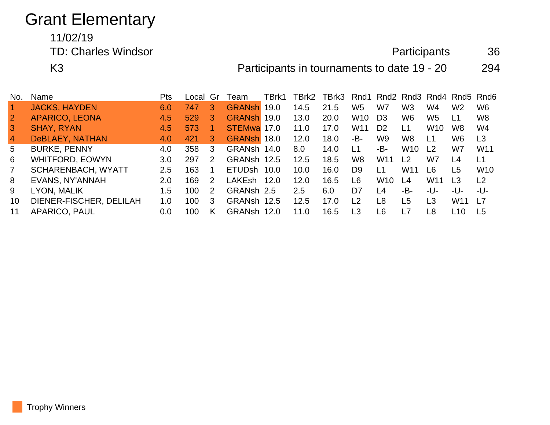# Grant Elementary

### 11/02/19 TD: Charles Windsor **Participants** 36

K3 **Participants in tournaments to date 19 - 20** 294

| No.            | Name                    | <b>Pts</b> | Local | Gr | Team               | TBrk1 | TBrk2 | TBrk3 Rnd1 Rnd2 Rnd3 Rnd4 Rnd5 Rnd6 |                 |                 |                 |                 |                 |                 |
|----------------|-------------------------|------------|-------|----|--------------------|-------|-------|-------------------------------------|-----------------|-----------------|-----------------|-----------------|-----------------|-----------------|
|                | <b>JACKS, HAYDEN</b>    | 6.0        | 747   | З  | <b>GRANSh</b>      | 19.0  | 14.5  | 21.5                                | W <sub>5</sub>  | W7              | W <sub>3</sub>  | W4              | W2              | W <sub>6</sub>  |
| $\overline{2}$ | <b>APARICO, LEONA</b>   | 4.5        | 529   | З  | <b>GRANSh</b>      | 19.0  | 13.0  | 20.0                                | W <sub>10</sub> | D <sub>3</sub>  | W6              | W <sub>5</sub>  | L1              | W <sub>8</sub>  |
| 3              | <b>SHAY, RYAN</b>       | 4.5        | 573   |    | STEMwa 17.0        |       | 11.0  | 17.0                                | W11             | D <sub>2</sub>  | L1              | W <sub>10</sub> | W8              | W4              |
| $\overline{4}$ | DeBLAEY, NATHAN         | 4.0        | 421   | З  | GRANSh 18.0        |       | 12.0  | 18.0                                | -B-             | W9              | W <sub>8</sub>  | L1              | W6              | L <sub>3</sub>  |
| 5              | <b>BURKE, PENNY</b>     | 4.0        | 358   | 3  | GRANsh 14.0        |       | 8.0   | 14.0                                | $\overline{11}$ | -В-             | W <sub>10</sub> | $\overline{2}$  | W7              | W <sub>11</sub> |
| 6              | <b>WHITFORD, EOWYN</b>  | 3.0        | 297   | 2  | GRANsh 12.5        |       | 12.5  | 18.5                                | W8              | W <sub>11</sub> | L <sub>2</sub>  | W7              | L4              | L1              |
| $\overline{7}$ | SCHARENBACH, WYATT      | 2.5        | 163   |    | ETUD <sub>sh</sub> | 10.0  | 10.0  | 16.0                                | D <sub>9</sub>  | L1              | W <sub>11</sub> | L6              | L5              | W <sub>10</sub> |
| 8              | EVANS, NY'ANNAH         | 2.0        | 169   | 2  | LAKEsh             | 12.0  | 12.0  | 16.5                                | L6              | W <sub>10</sub> | L4              | W <sub>11</sub> | L3              | L <sub>2</sub>  |
| 9              | LYON, MALIK             | 1.5        | 100   | 2  | GRANsh 2.5         |       | 2.5   | 6.0                                 | D7              | L4              | -B-             | -U-             | -U-             | -U-             |
| 10             | DIENER-FISCHER, DELILAH | 1.0        | 100   | 3  | GRANsh 12.5        |       | 12.5  | 17.0                                | $\overline{2}$  | L <sub>8</sub>  | L5              | L3              | W <sub>11</sub> | <u> 17</u>      |
| 11             | APARICO, PAUL           | 0.0        | 100   | Κ  | <b>GRANsh</b>      | 12.0  | 11.0  | 16.5                                | L <sub>3</sub>  | L6              |                 | L8              | L10             | L5              |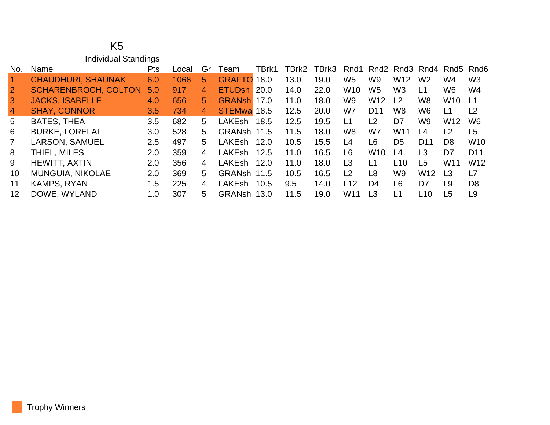#### K5 Individual Standings

| No.            | Name                        | <b>Pts</b> | Local | Gr | Team               | TBrk1 | TBrk2 | TBrk3 | Rnd1                           |                 |                |                 |                 | Rnd <sub>2</sub> Rnd <sub>3</sub> Rnd <sub>4</sub> Rnd <sub>5</sub> Rnd <sub>6</sub> |
|----------------|-----------------------------|------------|-------|----|--------------------|-------|-------|-------|--------------------------------|-----------------|----------------|-----------------|-----------------|--------------------------------------------------------------------------------------|
|                | <b>CHAUDHURI, SHAUNAK</b>   | 6.0        | 1068  | 5. | <b>GRAFTO</b>      | 18.0  | 13.0  | 19.0  | W <sub>5</sub>                 | W9              | W12            | W <sub>2</sub>  | W4              | W <sub>3</sub>                                                                       |
| $\overline{2}$ | <b>SCHARENBROCH, COLTON</b> | 5.0        | 917   | 4  | ETUD <sub>sh</sub> | 20.0  | 14.0  | 22.0  | <b>W10</b>                     | W5              | W <sub>3</sub> | L1              | W6              | W4                                                                                   |
| 3              | <b>JACKS, ISABELLE</b>      | 4.0        | 656   | 5. | GRANsh 17.0        |       | 11.0  | 18.0  | W9                             | W <sub>12</sub> | L <sub>2</sub> | W <sub>8</sub>  | W <sub>10</sub> | -L1                                                                                  |
| $\overline{4}$ | <b>SHAY, CONNOR</b>         | 3.5        | 734   | 4  | STEMwa 18.5        |       | 12.5  | 20.0  | W7                             | D <sub>11</sub> | W8             | W6              | L1              | L <sub>2</sub>                                                                       |
| 5              | <b>BATES, THEA</b>          | 3.5        | 682   | 5. | <b>LAKEsh</b>      | 18.5  | 12.5  | 19.5  | L1                             | L2              | D7             | W <sub>9</sub>  | W <sub>12</sub> | W <sub>6</sub>                                                                       |
| 6              | <b>BURKE, LORELAI</b>       | 3.0        | 528   | 5  | GRANsh             | 11.5  | 11.5  | 18.0  | W <sub>8</sub>                 | W7              | W11            | L4              | L <sub>2</sub>  | L <sub>5</sub>                                                                       |
| $\overline{7}$ | <b>LARSON, SAMUEL</b>       | 2.5        | 497   | 5  | <b>LAKEsh</b>      | 12.0  | 10.5  | 15.5  | L <sub>4</sub>                 | L6              | D <sub>5</sub> | D <sub>11</sub> | D <sub>8</sub>  | <b>W10</b>                                                                           |
| 8              | THIEL, MILES                | 2.0        | 359   | 4  | <b>LAKEsh</b>      | 12.5  | 11.0  | 16.5  | L <sub>6</sub>                 | W <sub>10</sub> | L <sub>4</sub> | L3              | D <sub>7</sub>  | D <sub>11</sub>                                                                      |
| 9              | <b>HEWITT, AXTIN</b>        | 2.0        | 356   | 4  | <b>LAKEsh</b>      | 12.0  | 11.0  | 18.0  | L3                             | L1              | L10            | L5              | W <sub>11</sub> | W <sub>12</sub>                                                                      |
| 10             | <b>MUNGUIA, NIKOLAE</b>     | 2.0        | 369   | 5  | GRANsh 11.5        |       | 10.5  | 16.5  | $\begin{array}{c} \end{array}$ | L <sub>8</sub>  | W9             | W <sub>12</sub> | L <sub>3</sub>  | L7                                                                                   |
| 11             | KAMPS, RYAN                 | 1.5        | 225   | 4  | <b>LAKEsh</b>      | 10.5  | 9.5   | 14.0  | 112                            | D <sub>4</sub>  | L <sub>6</sub> | D7              | L9              | D <sub>8</sub>                                                                       |
| 12             | DOWE, WYLAND                | 1.0        | 307   | 5  | <b>GRANsh</b>      | 13.0  | 11.5  | 19.0  | W <sub>11</sub>                | L3              | L <sub>1</sub> | L10             | L5              | L9                                                                                   |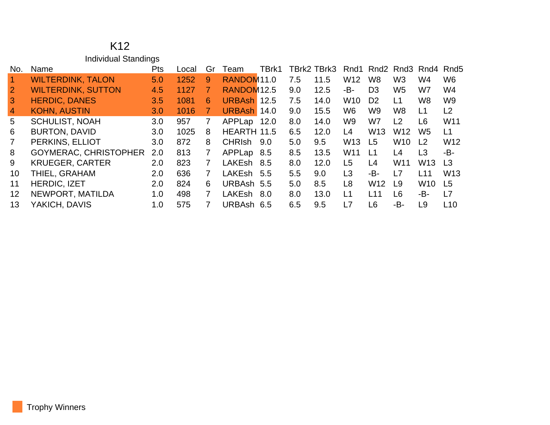#### K12 Individual Standings

| No.            | Name                         | <b>Pts</b> | Local | Gr             | Team                   | TBrk1 |     | TBrk2 TBrk3 |                 | Rnd1 Rnd2 Rnd3 Rnd4 |                 |                 | Rnd <sub>5</sub> |
|----------------|------------------------------|------------|-------|----------------|------------------------|-------|-----|-------------|-----------------|---------------------|-----------------|-----------------|------------------|
|                | <b>WILTERDINK, TALON</b>     | 5.0        | 1252  | 9              | RANDOM <sub>11.0</sub> |       | 7.5 | 11.5        | W <sub>12</sub> | W <sub>8</sub>      | W <sub>3</sub>  | W4              | W <sub>6</sub>   |
| $\overline{2}$ | <b>WILTERDINK, SUTTON</b>    | 4.5        | 1127  |                | RANDOM <sub>12.5</sub> |       | 9.0 | 12.5        | -B-             | D <sub>3</sub>      | W <sub>5</sub>  | W7              | W4               |
| $\overline{3}$ | <b>HERDIC, DANES</b>         | 3.5        | 1081  | 6              | <b>URBAsh</b>          | 12.5  | 7.5 | 14.0        | <b>W10</b>      | D <sub>2</sub>      | L1              | W <sub>8</sub>  | W <sub>9</sub>   |
| $\overline{4}$ | <b>KOHN, AUSTIN</b>          | 3.0        | 1016  |                | <b>URBAsh</b>          | 14.0  | 9.0 | 15.5        | W <sub>6</sub>  | W9                  | W8              | L1              | L <sub>2</sub>   |
| 5              | <b>SCHULIST, NOAH</b>        | 3.0        | 957   | 7              | APPLap                 | 12.0  | 8.0 | 14.0        | W <sub>9</sub>  | W7                  | L2              | L6              | W <sub>11</sub>  |
| 6              | <b>BURTON, DAVID</b>         | 3.0        | 1025  | 8              | HEARTH 11.5            |       | 6.5 | 12.0        | L4              | W <sub>13</sub>     | W <sub>12</sub> | W <sub>5</sub>  | L1               |
| $\overline{7}$ | PERKINS, ELLIOT              | 3.0        | 872   | 8              | <b>CHRIsh</b>          | 9.0   | 5.0 | 9.5         | W <sub>13</sub> | L <sub>5</sub>      | W <sub>10</sub> | L2              | W <sub>12</sub>  |
| 8              | <b>GOYMERAC, CHRISTOPHER</b> | 2.0        | 813   | 7              | APPLap 8.5             |       | 8.5 | 13.5        | W <sub>11</sub> | $\mathsf{L}1$       | L4              | L <sub>3</sub>  | -B-              |
| 9              | <b>KRUEGER, CARTER</b>       | 2.0        | 823   | 7              | <b>LAKEsh</b>          | 8.5   | 8.0 | 12.0        | L <sub>5</sub>  | L4                  | W11             | W <sub>13</sub> | L <sub>3</sub>   |
| 10             | THIEL, GRAHAM                | 2.0        | 636   | $\overline{7}$ | LAKEsh 5.5             |       | 5.5 | 9.0         | L3              | -B-                 | L7              | L11             | W <sub>13</sub>  |
| 11             | HERDIC, IZET                 | 2.0        | 824   | 6              | URBAsh 5.5             |       | 5.0 | 8.5         | L <sub>8</sub>  | W <sub>12</sub>     | L9              | W <sub>10</sub> | L <sub>5</sub>   |
| 12             | NEWPORT, MATILDA             | 1.0        | 498   | 7              | LAKEsh                 | 8.0   | 8.0 | 13.0        | L1              | L11                 | L <sub>6</sub>  | -B-             | L7               |
| 13             | YAKICH, DAVIS                | 1.0        | 575   | 7              | URBAsh 6.5             |       | 6.5 | 9.5         | L7              | L6                  | -B-             | L <sub>9</sub>  | L10              |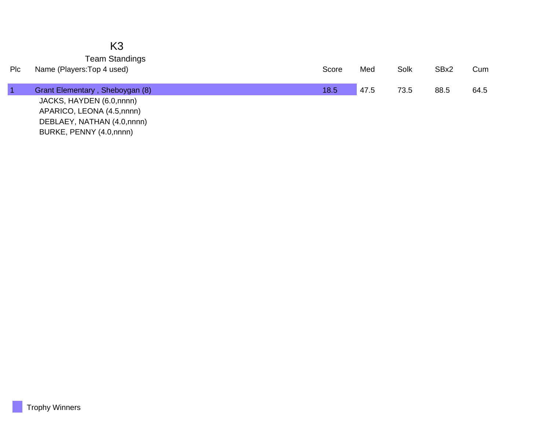|     | K <sub>3</sub>                  |       |      |      |      |      |
|-----|---------------------------------|-------|------|------|------|------|
|     | <b>Team Standings</b>           |       |      |      |      |      |
| Plc | Name (Players: Top 4 used)      | Score | Med  | Solk | SBx2 | Cum  |
|     | Grant Elementary, Sheboygan (8) | 18.5  | 47.5 | 73.5 | 88.5 | 64.5 |
|     | JACKS, HAYDEN (6.0,nnnn)        |       |      |      |      |      |
|     | APARICO, LEONA (4.5,nnnn)       |       |      |      |      |      |
|     | DEBLAEY, NATHAN (4.0,nnnn)      |       |      |      |      |      |
|     | BURKE, PENNY (4.0,nnnn)         |       |      |      |      |      |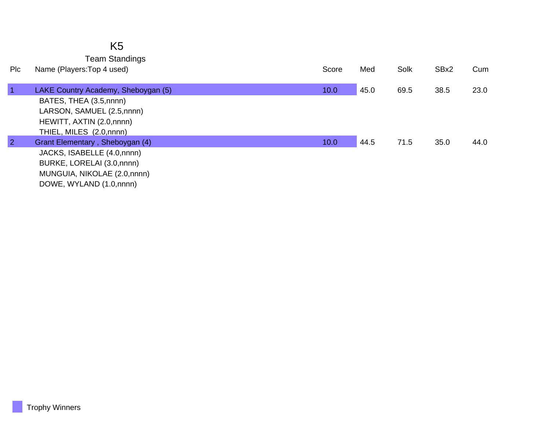|                | K <sub>5</sub><br><b>Team Standings</b>                                                                                                               |       |      |      |      |      |
|----------------|-------------------------------------------------------------------------------------------------------------------------------------------------------|-------|------|------|------|------|
| Plc            | Name (Players: Top 4 used)                                                                                                                            | Score | Med  | Solk | SBx2 | Cum  |
| $\vert$ 1      | LAKE Country Academy, Sheboygan (5)<br>BATES, THEA (3.5,nnnn)<br>LARSON, SAMUEL (2.5,nnnn)<br>HEWITT, AXTIN (2.0,nnnn)<br>THIEL, MILES (2.0, nnnn)    | 10.0  | 45.0 | 69.5 | 38.5 | 23.0 |
| $\overline{2}$ | Grant Elementary, Sheboygan (4)<br>JACKS, ISABELLE (4.0,nnnn)<br>BURKE, LORELAI (3.0, nnnn)<br>MUNGUIA, NIKOLAE (2.0,nnnn)<br>DOWE, WYLAND (1.0,nnnn) | 10.0  | 44.5 | 71.5 | 35.0 | 44.0 |